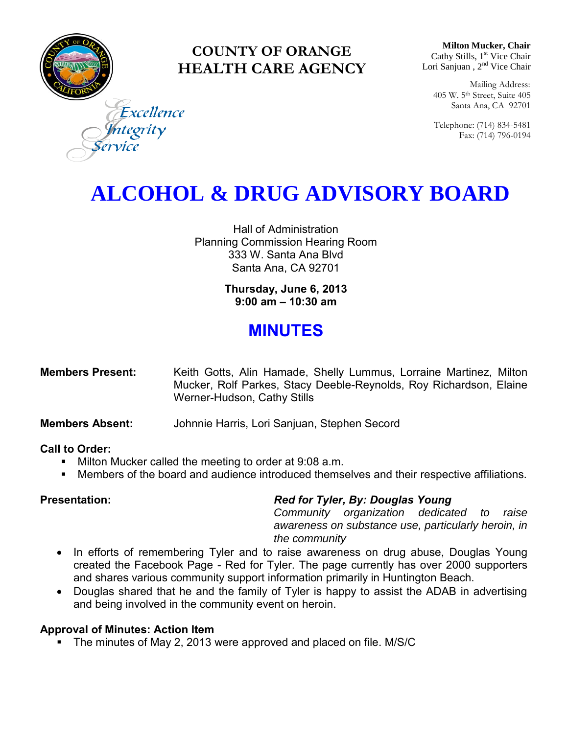

### **COUNTY OF ORANGE HEALTH CARE AGENCY**

**Milton Mucker, Chair** Cathy Stills, 1<sup>st</sup> Vice Chair Lori Sanjuan, 2<sup>nd</sup> Vice Chair

Mailing Address: 405 W. 5th Street, Suite 405 Santa Ana, CA 92701

Telephone: (714) 834-5481 Fax: (714) 796-0194

Excellence egrity

# **ALCOHOL & DRUG ADVISORY BOARD**

Hall of Administration Planning Commission Hearing Room 333 W. Santa Ana Blvd Santa Ana, CA 92701

> **Thursday, June 6, 2013 9:00 am – 10:30 am**

## **MINUTES**

| <b>Members Present:</b> | Keith Gotts, Alin Hamade, Shelly Lummus, Lorraine Martinez, Milton |  |
|-------------------------|--------------------------------------------------------------------|--|
|                         | Mucker, Rolf Parkes, Stacy Deeble-Reynolds, Roy Richardson, Elaine |  |
|                         | Werner-Hudson, Cathy Stills                                        |  |

**Members Absent:** Johnnie Harris, Lori Sanjuan, Stephen Secord

### **Call to Order:**

- **Milton Mucker called the meeting to order at 9:08 a.m.**
- Members of the board and audience introduced themselves and their respective affiliations.

### **Presentation:** *Red for Tyler, By: Douglas Young*

*Community organization dedicated to raise awareness on substance use, particularly heroin, in the community*

- In efforts of remembering Tyler and to raise awareness on drug abuse, Douglas Young created the Facebook Page - Red for Tyler. The page currently has over 2000 supporters and shares various community support information primarily in Huntington Beach.
- Douglas shared that he and the family of Tyler is happy to assist the ADAB in advertising and being involved in the community event on heroin.

### **Approval of Minutes: Action Item**

• The minutes of May 2, 2013 were approved and placed on file. M/S/C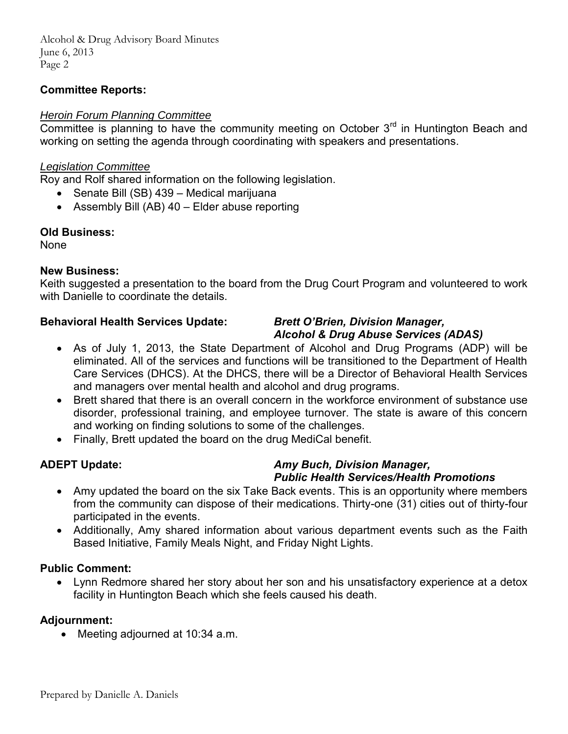Alcohol & Drug Advisory Board Minutes June 6, 2013 Page 2

#### **Committee Reports:**

#### *Heroin Forum Planning Committee*

Committee is planning to have the community meeting on October  $3<sup>rd</sup>$  in Huntington Beach and working on setting the agenda through coordinating with speakers and presentations.

#### *Legislation Committee*

Roy and Rolf shared information on the following legislation.

- Senate Bill (SB) 439 Medical marijuana
- Assembly Bill (AB) 40 Elder abuse reporting

#### **Old Business:**

None

#### **New Business:**

Keith suggested a presentation to the board from the Drug Court Program and volunteered to work with Danielle to coordinate the details.

#### **Behavioral Health Services Update:** *Brett O'Brien, Division Manager,*

## *Alcohol & Drug Abuse Services (ADAS)*

- As of July 1, 2013, the State Department of Alcohol and Drug Programs (ADP) will be eliminated. All of the services and functions will be transitioned to the Department of Health Care Services (DHCS). At the DHCS, there will be a Director of Behavioral Health Services and managers over mental health and alcohol and drug programs.
- Brett shared that there is an overall concern in the workforce environment of substance use disorder, professional training, and employee turnover. The state is aware of this concern and working on finding solutions to some of the challenges.
- Finally, Brett updated the board on the drug MediCal benefit.

#### **ADEPT Update:** *Amy Buch, Division Manager, Public Health Services/Health Promotions*

- Amy updated the board on the six Take Back events. This is an opportunity where members from the community can dispose of their medications. Thirty-one (31) cities out of thirty-four participated in the events.
- Additionally, Amy shared information about various department events such as the Faith Based Initiative, Family Meals Night, and Friday Night Lights.

#### **Public Comment:**

 Lynn Redmore shared her story about her son and his unsatisfactory experience at a detox facility in Huntington Beach which she feels caused his death.

### **Adjournment:**

• Meeting adjourned at 10:34 a.m.